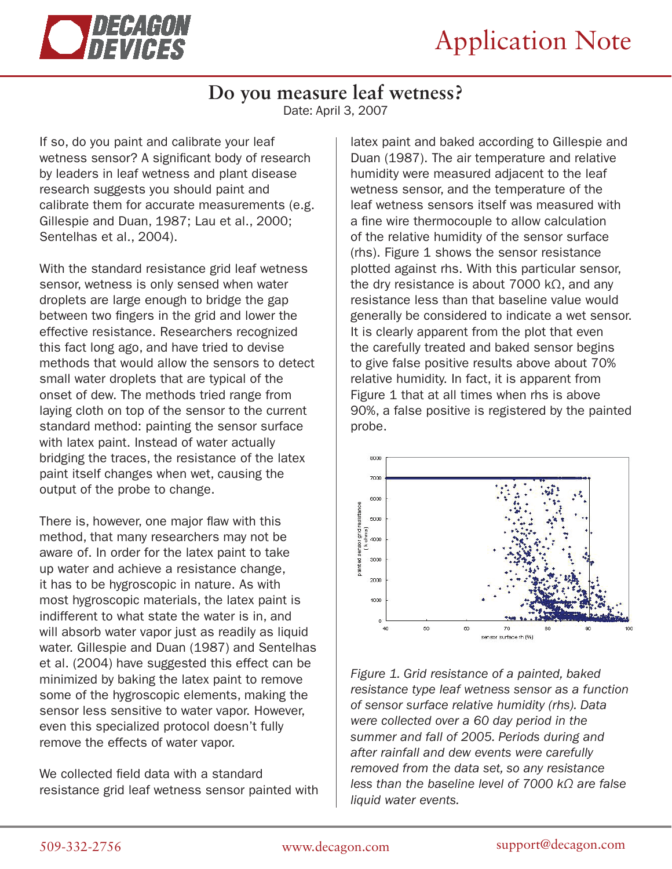

## **Do you measure leaf wetness?**

Date: April 3, 2007

If so, do you paint and calibrate your leaf wetness sensor? A significant body of research by leaders in leaf wetness and plant disease research suggests you should paint and calibrate them for accurate measurements (e.g. Gillespie and Duan, 1987; Lau et al., 2000; Sentelhas et al., 2004).

With the standard resistance grid leaf wetness sensor, wetness is only sensed when water droplets are large enough to bridge the gap between two fingers in the grid and lower the effective resistance. Researchers recognized this fact long ago, and have tried to devise methods that would allow the sensors to detect small water droplets that are typical of the onset of dew. The methods tried range from laying cloth on top of the sensor to the current standard method: painting the sensor surface with latex paint. Instead of water actually bridging the traces, the resistance of the latex paint itself changes when wet, causing the output of the probe to change.

There is, however, one major flaw with this method, that many researchers may not be aware of. In order for the latex paint to take up water and achieve a resistance change, it has to be hygroscopic in nature. As with most hygroscopic materials, the latex paint is indifferent to what state the water is in, and will absorb water vapor just as readily as liquid water. Gillespie and Duan (1987) and Sentelhas et al. (2004) have suggested this effect can be minimized by baking the latex paint to remove some of the hygroscopic elements, making the sensor less sensitive to water vapor. However, even this specialized protocol doesn't fully remove the effects of water vapor.

We collected field data with a standard resistance grid leaf wetness sensor painted with

latex paint and baked according to Gillespie and Duan (1987). The air temperature and relative humidity were measured adjacent to the leaf wetness sensor, and the temperature of the leaf wetness sensors itself was measured with a fine wire thermocouple to allow calculation of the relative humidity of the sensor surface (rhs). Figure 1 shows the sensor resistance plotted against rhs. With this particular sensor, the dry resistance is about 7000 kΩ, and any resistance less than that baseline value would generally be considered to indicate a wet sensor. It is clearly apparent from the plot that even the carefully treated and baked sensor begins to give false positive results above about 70% relative humidity. In fact, it is apparent from Figure 1 that at all times when rhs is above 90%, a false positive is registered by the painted probe.



*Figure 1. Grid resistance of a painted, baked resistance type leaf wetness sensor as a function of sensor surface relative humidity (rhs). Data were collected over a 60 day period in the summer and fall of 2005. Periods during and after rainfall and dew events were carefully removed from the data set, so any resistance less than the baseline level of 7000 kΩ are false liquid water events.*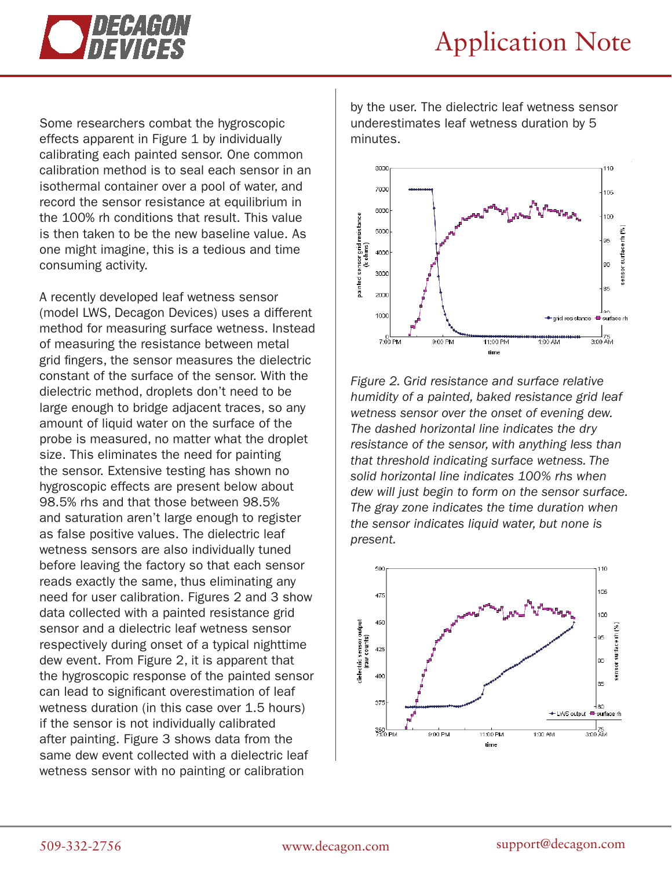

Some researchers combat the hygroscopic effects apparent in Figure 1 by individually calibrating each painted sensor. One common calibration method is to seal each sensor in an isothermal container over a pool of water, and record the sensor resistance at equilibrium in the 100% rh conditions that result. This value is then taken to be the new baseline value. As one might imagine, this is a tedious and time consuming activity.

A recently developed leaf wetness sensor (model LWS, Decagon Devices) uses a different method for measuring surface wetness. Instead of measuring the resistance between metal grid fingers, the sensor measures the dielectric constant of the surface of the sensor. With the dielectric method, droplets don't need to be large enough to bridge adjacent traces, so any amount of liquid water on the surface of the probe is measured, no matter what the droplet size. This eliminates the need for painting the sensor. Extensive testing has shown no hygroscopic effects are present below about 98.5% rhs and that those between 98.5% and saturation aren't large enough to register as false positive values. The dielectric leaf wetness sensors are also individually tuned before leaving the factory so that each sensor reads exactly the same, thus eliminating any need for user calibration. Figures 2 and 3 show data collected with a painted resistance grid sensor and a dielectric leaf wetness sensor respectively during onset of a typical nighttime dew event. From Figure 2, it is apparent that the hygroscopic response of the painted sensor can lead to significant overestimation of leaf wetness duration (in this case over 1.5 hours) if the sensor is not individually calibrated after painting. Figure 3 shows data from the same dew event collected with a dielectric leaf wetness sensor with no painting or calibration

by the user. The dielectric leaf wetness sensor underestimates leaf wetness duration by 5 minutes.



*Figure 2. Grid resistance and surface relative humidity of a painted, baked resistance grid leaf wetness sensor over the onset of evening dew. The dashed horizontal line indicates the dry resistance of the sensor, with anything less than that threshold indicating surface wetness. The solid horizontal line indicates 100% rhs when dew will just begin to form on the sensor surface. The gray zone indicates the time duration when the sensor indicates liquid water, but none is present.*